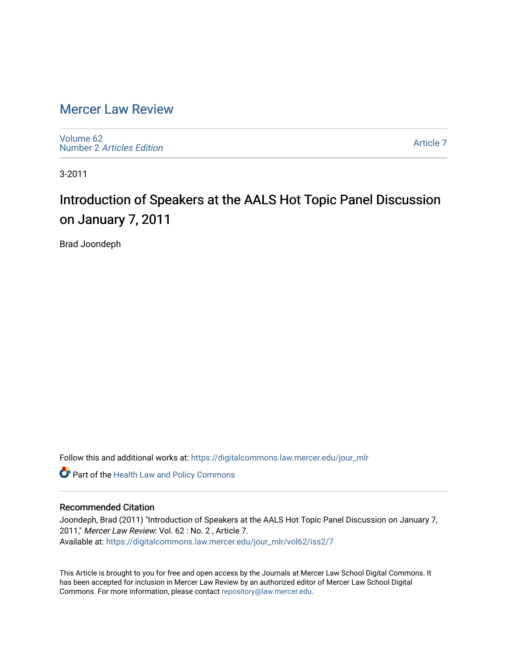### [Mercer Law Review](https://digitalcommons.law.mercer.edu/jour_mlr)

[Volume 62](https://digitalcommons.law.mercer.edu/jour_mlr/vol62) Number 2 [Articles Edition](https://digitalcommons.law.mercer.edu/jour_mlr/vol62/iss2) 

[Article 7](https://digitalcommons.law.mercer.edu/jour_mlr/vol62/iss2/7) 

3-2011

## Introduction of Speakers at the AALS Hot Topic Panel Discussion on January 7, 2011

Brad Joondeph

Follow this and additional works at: [https://digitalcommons.law.mercer.edu/jour\\_mlr](https://digitalcommons.law.mercer.edu/jour_mlr?utm_source=digitalcommons.law.mercer.edu%2Fjour_mlr%2Fvol62%2Fiss2%2F7&utm_medium=PDF&utm_campaign=PDFCoverPages)

**Part of the Health Law and Policy Commons** 

### Recommended Citation

Joondeph, Brad (2011) "Introduction of Speakers at the AALS Hot Topic Panel Discussion on January 7, 2011," Mercer Law Review: Vol. 62 : No. 2 , Article 7. Available at: [https://digitalcommons.law.mercer.edu/jour\\_mlr/vol62/iss2/7](https://digitalcommons.law.mercer.edu/jour_mlr/vol62/iss2/7?utm_source=digitalcommons.law.mercer.edu%2Fjour_mlr%2Fvol62%2Fiss2%2F7&utm_medium=PDF&utm_campaign=PDFCoverPages)

This Article is brought to you for free and open access by the Journals at Mercer Law School Digital Commons. It has been accepted for inclusion in Mercer Law Review by an authorized editor of Mercer Law School Digital Commons. For more information, please contact [repository@law.mercer.edu.](mailto:repository@law.mercer.edu)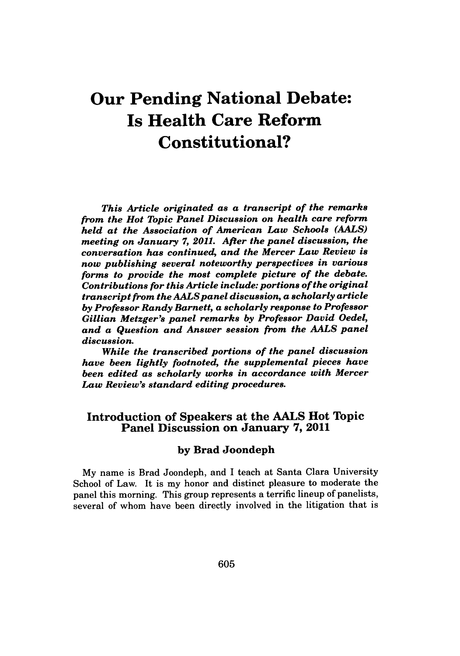# **Our Pending National Debate: Is Health Care Reform Constitutional?**

*This Article originated as a transcript of the remarks from the Hot Topic Panel Discussion on health care reform held at the Association of American Law Schools (AALS) meeting on January 7, 2011. After the panel discussion, the conversation has continued, and the Mercer Law Review is now publishing several noteworthy perspectives in various forms to provide the most complete picture of the debate. Contributions for this Article include: portions of the original transcript from the AALS panel discussion, a scholarly article by Professor Randy Barnett, a scholarly response to Professor Gillian Metzger's panel remarks by Professor David Oedel, and a Question and Answer session from the AALS panel discussion.*

*While the transcribed portions of the panel discussion have been lightly footnoted, the supplemental pieces have been edited as scholarly works in accordance with Mercer Law Review's standard editing procedures.*

### Introduction of Speakers at the **AALS** Hot Topic Panel Discussion on January **7,** 2011

#### **by** Brad Joondeph

**My** name is Brad Joondeph, and I teach at Santa Clara University School of Law. It is my honor and distinct pleasure to moderate the panel this morning. This group represents a terrific lineup of panelists, several of whom have been directly involved in the litigation that is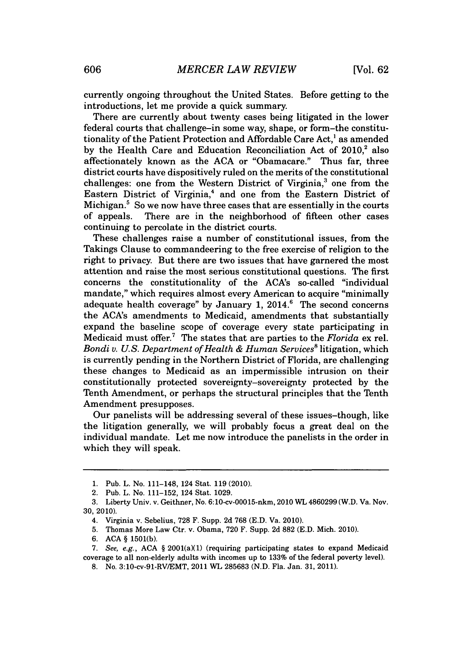currently ongoing throughout the United States. Before getting to the introductions, let me provide a quick summary.

There are currently about twenty cases being litigated in the lower federal courts that challenge-in some way, shape, or form-the constitutionality of the Patient Protection and Affordable Care Act,' as amended by the Health Care and Education Reconciliation Act of 2010.<sup>2</sup> also affectionately known as the **ACA** or "Obamacare." Thus far, three district courts have dispositively ruled on the merits of the constitutional challenges: one from the Western District of Virginia,' one from the Eastern District of Virginia,<sup>4</sup> and one from the Eastern District of Michigan.<sup>5</sup> So we now have three cases that are essentially in the courts of appeals. There are in the neighborhood of fifteen other cases continuing to percolate in the district courts.

These challenges raise a number of constitutional issues, from the Takings Clause to commandeering to the free exercise of religion to the right to privacy. But there are two issues that have garnered the most attention and raise the most serious constitutional questions. The first concerns the constitutionality of the ACA's so-called "individual mandate," which requires almost every American to acquire "minimally adequate health coverage" **by** January **1, 2014.6** The second concerns the ACA's amendments to Medicaid, amendments that substantially expand the baseline scope of coverage every state participating in Medicaid must offer.' The states that are parties to the *Florida* ex rel. *Bondi v. U.S. Department of Health & Human Services'* litigation, which is currently pending in the Northern District of Florida, are challenging these changes to Medicaid as an impermissible intrusion on their constitutionally protected sovereignty-sovereignty protected **by** the Tenth Amendment, or perhaps the structural principles that the Tenth Amendment presupposes.

Our panelists will be addressing several of these issues-though, like the litigation generally, we will probably focus a great deal on the individual mandate. Let me now introduce the panelists in the order in which they will speak.

**<sup>1.</sup>** Pub. L. No. 111-148, 124 Stat. **119** (2010).

<sup>2.</sup> Pub. L. No. **111-152,** 124 Stat. **1029.**

**<sup>3.</sup>** Liberty Univ. v. Geithner, No. 6:10-cv-00015-nkm, 2010 WL 4860299 (W.D. Va. Nov. **30, 2010).**

<sup>4.</sup> Virginia v. Sebelius, **728** F. Supp. **2d 768 (E.D.** Va. 2010).

**<sup>5.</sup>** Thomas More Law Ctr. v. Obama, **720** F. Supp. **2d 882 (E.D.** Mich. 2010).

**<sup>6.</sup> ACA § 1501(b).**

**<sup>7.</sup>** See, e.g., **ACA §** 2001(a)(1) (requiring participating states to expand Medicaid coverage to all non-elderly adults with incomes up to **133%** of the federal poverty level).

**<sup>8.</sup>** No. 3:10-cv-91-RV/EMT, 2011 **WL 285683 (N.D.** Fla. Jan. **31, 2011).**